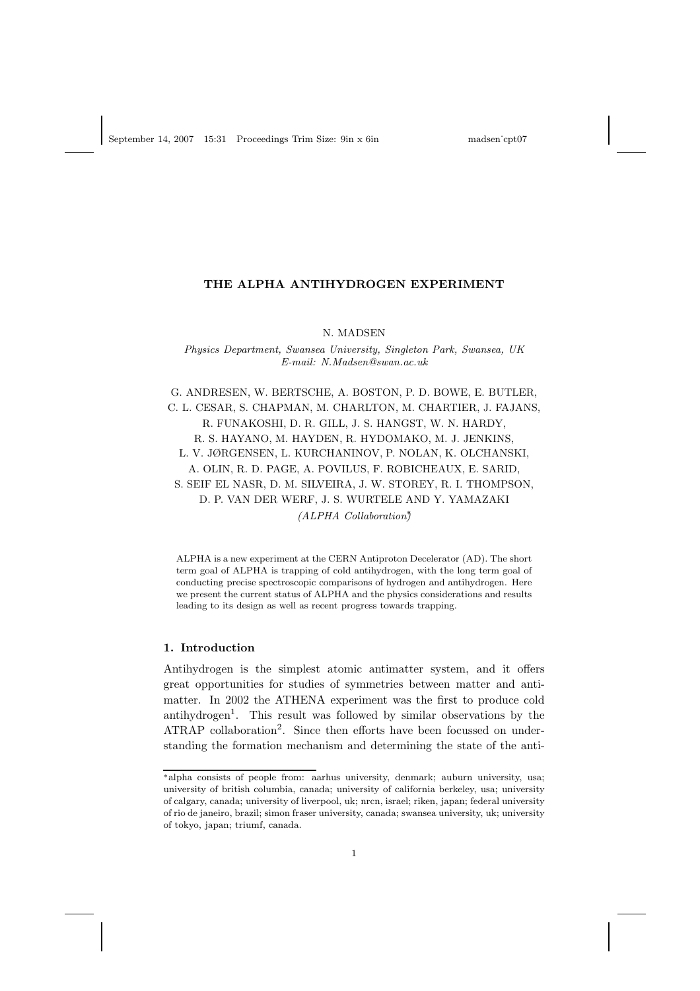# THE ALPHA ANTIHYDROGEN EXPERIMENT

N. MADSEN

Physics Department, Swansea University, Singleton Park, Swansea, UK E-mail: N.Madsen@swan.ac.uk

G. ANDRESEN, W. BERTSCHE, A. BOSTON, P. D. BOWE, E. BUTLER, C. L. CESAR, S. CHAPMAN, M. CHARLTON, M. CHARTIER, J. FAJANS, R. FUNAKOSHI, D. R. GILL, J. S. HANGST, W. N. HARDY, R. S. HAYANO, M. HAYDEN, R. HYDOMAKO, M. J. JENKINS, L. V. JØRGENSEN, L. KURCHANINOV, P. NOLAN, K. OLCHANSKI, A. OLIN, R. D. PAGE, A. POVILUS, F. ROBICHEAUX, E. SARID, S. SEIF EL NASR, D. M. SILVEIRA, J. W. STOREY, R. I. THOMPSON, D. P. VAN DER WERF, J. S. WURTELE AND Y. YAMAZAKI (ALPHA Collaboration)

ALPHA is a new experiment at the CERN Antiproton Decelerator (AD). The short term goal of ALPHA is trapping of cold antihydrogen, with the long term goal of conducting precise spectroscopic comparisons of hydrogen and antihydrogen. Here we present the current status of ALPHA and the physics considerations and results leading to its design as well as recent progress towards trapping.

#### 1. Introduction

Antihydrogen is the simplest atomic antimatter system, and it offers great opportunities for studies of symmetries between matter and antimatter. In 2002 the ATHENA experiment was the first to produce cold antihydrogen<sup>1</sup> . This result was followed by similar observations by the ATRAP collaboration<sup>2</sup>. Since then efforts have been focussed on understanding the formation mechanism and determining the state of the anti-

<sup>∗</sup>alpha consists of people from: aarhus university, denmark; auburn university, usa; university of british columbia, canada; university of california berkeley, usa; university of calgary, canada; university of liverpool, uk; nrcn, israel; riken, japan; federal university of rio de janeiro, brazil; simon fraser university, canada; swansea university, uk; university of tokyo, japan; triumf, canada.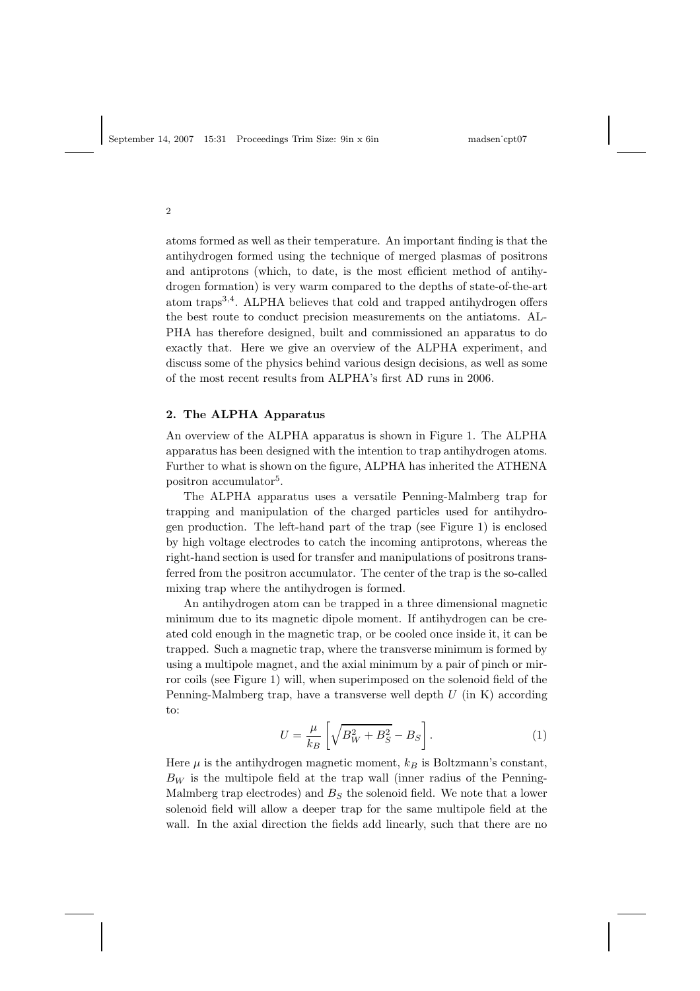2

atoms formed as well as their temperature. An important finding is that the antihydrogen formed using the technique of merged plasmas of positrons and antiprotons (which, to date, is the most efficient method of antihydrogen formation) is very warm compared to the depths of state-of-the-art atom traps<sup>3,4</sup>. ALPHA believes that cold and trapped antihydrogen offers the best route to conduct precision measurements on the antiatoms. AL-PHA has therefore designed, built and commissioned an apparatus to do exactly that. Here we give an overview of the ALPHA experiment, and discuss some of the physics behind various design decisions, as well as some of the most recent results from ALPHA's first AD runs in 2006.

#### 2. The ALPHA Apparatus

An overview of the ALPHA apparatus is shown in Figure 1. The ALPHA apparatus has been designed with the intention to trap antihydrogen atoms. Further to what is shown on the figure, ALPHA has inherited the ATHENA positron accumulator<sup>5</sup>.

The ALPHA apparatus uses a versatile Penning-Malmberg trap for trapping and manipulation of the charged particles used for antihydrogen production. The left-hand part of the trap (see Figure 1) is enclosed by high voltage electrodes to catch the incoming antiprotons, whereas the right-hand section is used for transfer and manipulations of positrons transferred from the positron accumulator. The center of the trap is the so-called mixing trap where the antihydrogen is formed.

An antihydrogen atom can be trapped in a three dimensional magnetic minimum due to its magnetic dipole moment. If antihydrogen can be created cold enough in the magnetic trap, or be cooled once inside it, it can be trapped. Such a magnetic trap, where the transverse minimum is formed by using a multipole magnet, and the axial minimum by a pair of pinch or mirror coils (see Figure 1) will, when superimposed on the solenoid field of the Penning-Malmberg trap, have a transverse well depth  $U$  (in K) according to:

$$
U = \frac{\mu}{k_B} \left[ \sqrt{B_W^2 + B_S^2} - B_S \right].
$$
 (1)

Here  $\mu$  is the antihydrogen magnetic moment,  $k_B$  is Boltzmann's constant,  $B_W$  is the multipole field at the trap wall (inner radius of the Penning-Malmberg trap electrodes) and  $B<sub>S</sub>$  the solenoid field. We note that a lower solenoid field will allow a deeper trap for the same multipole field at the wall. In the axial direction the fields add linearly, such that there are no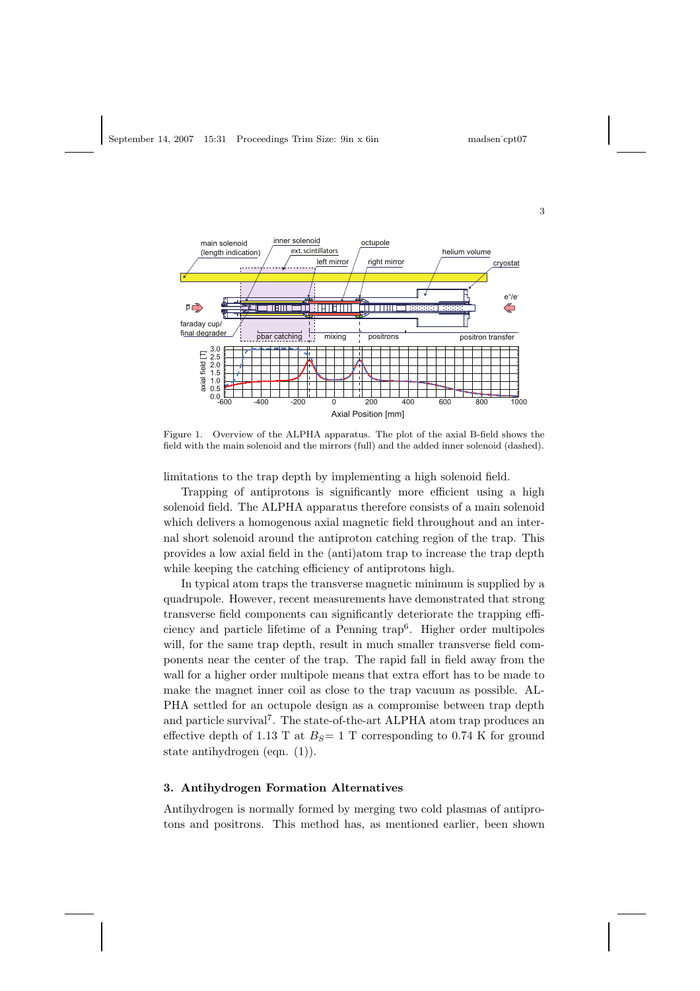

Figure 1. Overview of the ALPHA apparatus. The plot of the axial B-field shows the field with the main solenoid and the mirrors (full) and the added inner solenoid (dashed).

limitations to the trap depth by implementing a high solenoid field.

Trapping of antiprotons is significantly more efficient using a high solenoid field. The ALPHA apparatus therefore consists of a main solenoid which delivers a homogenous axial magnetic field throughout and an internal short solenoid around the antiproton catching region of the trap. This provides a low axial field in the (anti)atom trap to increase the trap depth while keeping the catching efficiency of antiprotons high.

In typical atom traps the transverse magnetic minimum is supplied by a quadrupole. However, recent measurements have demonstrated that strong transverse field components can significantly deteriorate the trapping efficiency and particle lifetime of a Penning trap<sup>6</sup> . Higher order multipoles will, for the same trap depth, result in much smaller transverse field components near the center of the trap. The rapid fall in field away from the wall for a higher order multipole means that extra effort has to be made to make the magnet inner coil as close to the trap vacuum as possible. AL-PHA settled for an octupole design as a compromise between trap depth and particle survival<sup>7</sup>. The state-of-the-art ALPHA atom trap produces an effective depth of 1.13 T at  $B<sub>S</sub>= 1$  T corresponding to 0.74 K for ground state antihydrogen (eqn. (1)).

# 3. Antihydrogen Formation Alternatives

Antihydrogen is normally formed by merging two cold plasmas of antiprotons and positrons. This method has, as mentioned earlier, been shown

3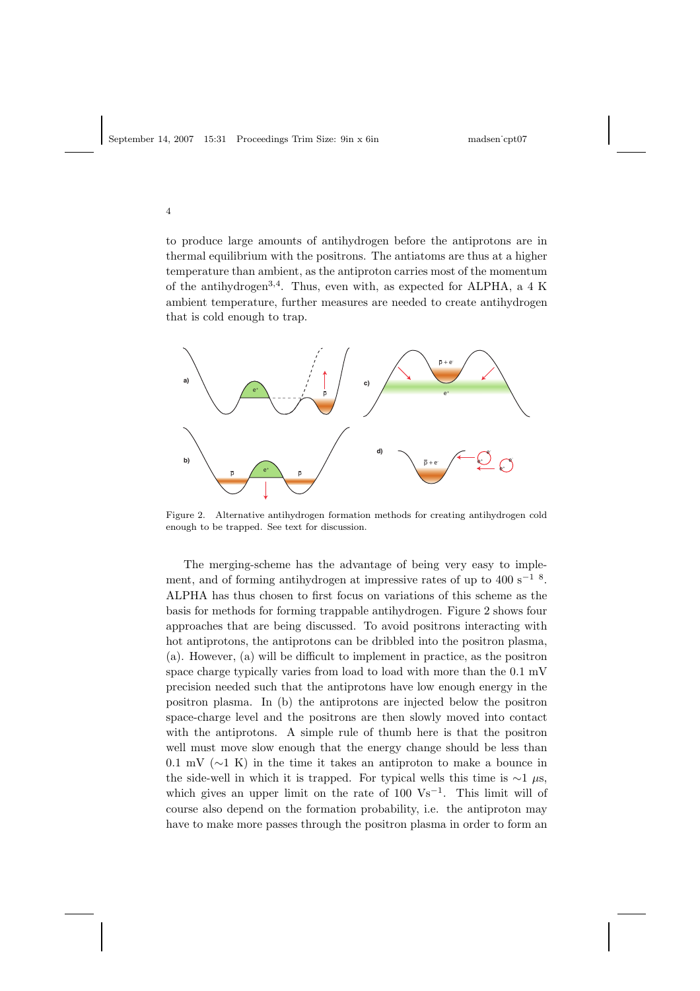4

to produce large amounts of antihydrogen before the antiprotons are in thermal equilibrium with the positrons. The antiatoms are thus at a higher temperature than ambient, as the antiproton carries most of the momentum of the antihydrogen<sup>3,4</sup>. Thus, even with, as expected for ALPHA, a 4 K ambient temperature, further measures are needed to create antihydrogen that is cold enough to trap.



Figure 2. Alternative antihydrogen formation methods for creating antihydrogen cold enough to be trapped. See text for discussion.

The merging-scheme has the advantage of being very easy to implement, and of forming antihydrogen at impressive rates of up to 400 s<sup> $-1$  8</sup>. ALPHA has thus chosen to first focus on variations of this scheme as the basis for methods for forming trappable antihydrogen. Figure 2 shows four approaches that are being discussed. To avoid positrons interacting with hot antiprotons, the antiprotons can be dribbled into the positron plasma, (a). However, (a) will be difficult to implement in practice, as the positron space charge typically varies from load to load with more than the 0.1 mV precision needed such that the antiprotons have low enough energy in the positron plasma. In (b) the antiprotons are injected below the positron space-charge level and the positrons are then slowly moved into contact with the antiprotons. A simple rule of thumb here is that the positron well must move slow enough that the energy change should be less than 0.1 mV ( $\sim$ 1 K) in the time it takes an antiproton to make a bounce in the side-well in which it is trapped. For typical wells this time is  $\sim$ 1 µs, which gives an upper limit on the rate of  $100 \text{ Vs}^{-1}$ . This limit will of course also depend on the formation probability, i.e. the antiproton may have to make more passes through the positron plasma in order to form an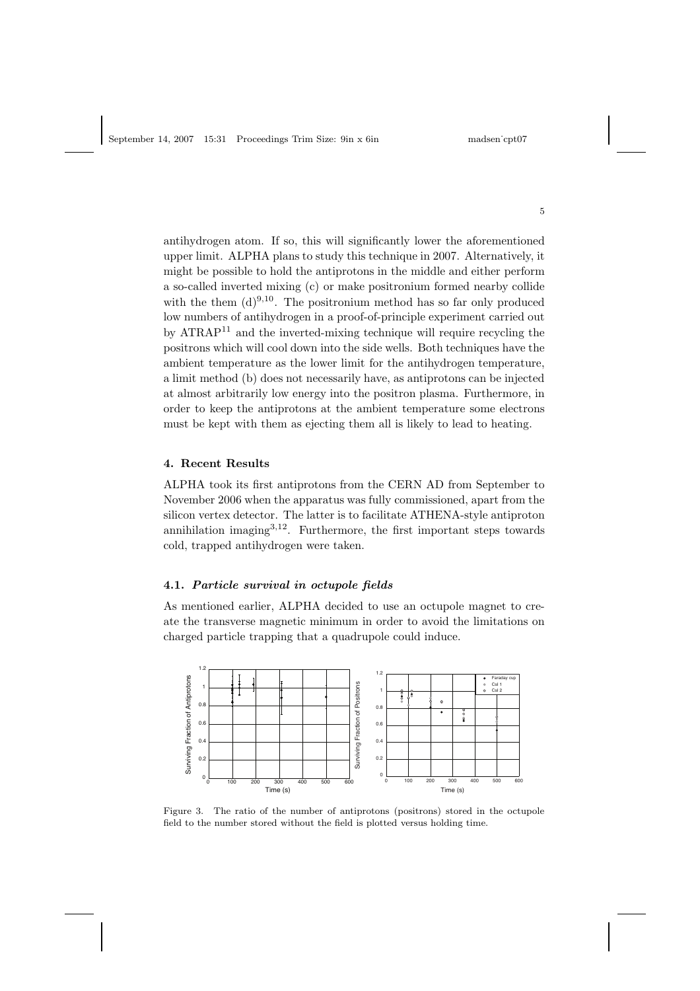antihydrogen atom. If so, this will significantly lower the aforementioned upper limit. ALPHA plans to study this technique in 2007. Alternatively, it might be possible to hold the antiprotons in the middle and either perform a so-called inverted mixing (c) or make positronium formed nearby collide with the them  $(d)^{9,10}$ . The positronium method has so far only produced low numbers of antihydrogen in a proof-of-principle experiment carried out by ATRAP<sup>11</sup> and the inverted-mixing technique will require recycling the positrons which will cool down into the side wells. Both techniques have the ambient temperature as the lower limit for the antihydrogen temperature, a limit method (b) does not necessarily have, as antiprotons can be injected at almost arbitrarily low energy into the positron plasma. Furthermore, in order to keep the antiprotons at the ambient temperature some electrons must be kept with them as ejecting them all is likely to lead to heating.

# 4. Recent Results

ALPHA took its first antiprotons from the CERN AD from September to November 2006 when the apparatus was fully commissioned, apart from the silicon vertex detector. The latter is to facilitate ATHENA-style antiproton annihilation imaging $3,12$ . Furthermore, the first important steps towards cold, trapped antihydrogen were taken.

# 4.1. Particle survival in octupole fields

As mentioned earlier, ALPHA decided to use an octupole magnet to create the transverse magnetic minimum in order to avoid the limitations on charged particle trapping that a quadrupole could induce.



Figure 3. The ratio of the number of antiprotons (positrons) stored in the octupole field to the number stored without the field is plotted versus holding time.

5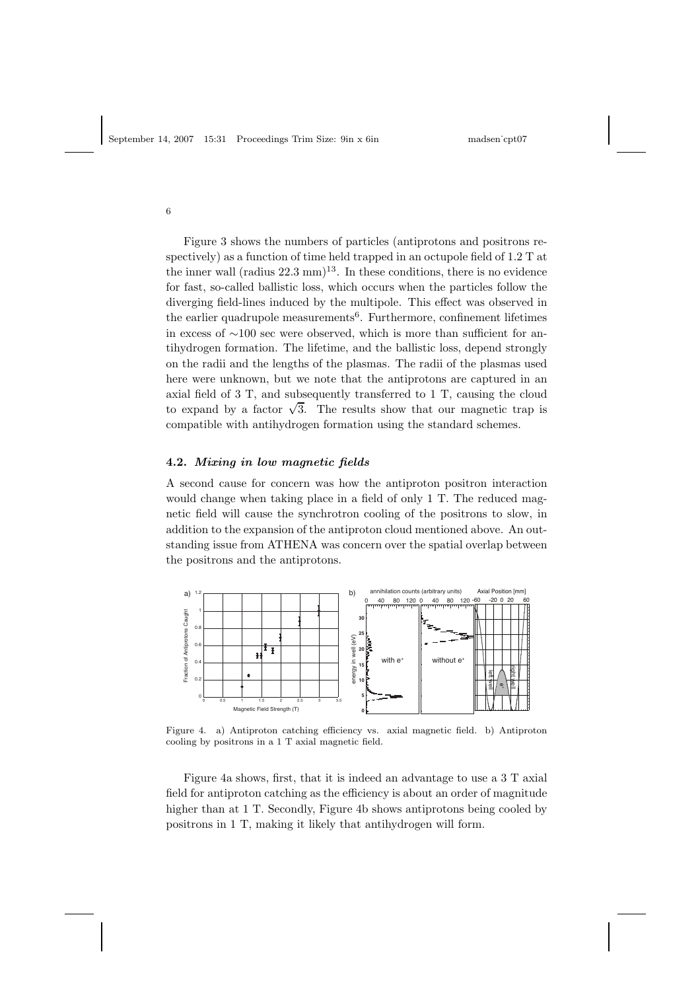6

Figure 3 shows the numbers of particles (antiprotons and positrons respectively) as a function of time held trapped in an octupole field of 1.2 T at the inner wall (radius  $22.3 \text{ mm}$ )<sup>13</sup>. In these conditions, there is no evidence for fast, so-called ballistic loss, which occurs when the particles follow the diverging field-lines induced by the multipole. This effect was observed in the earlier quadrupole measurements<sup>6</sup>. Furthermore, confinement lifetimes in excess of <sup>∼</sup>100 sec were observed, which is more than sufficient for antihydrogen formation. The lifetime, and the ballistic loss, depend strongly on the radii and the lengths of the plasmas. The radii of the plasmas used here were unknown, but we note that the antiprotons are captured in an axial field of 3 T, and subsequently transferred to 1 T, causing the cloud to expand by a factor  $\sqrt{3}$ . The results show that our magnetic trap is compatible with antihydrogen formation using the standard schemes.

### 4.2. Mixing in low magnetic fields

A second cause for concern was how the antiproton positron interaction would change when taking place in a field of only 1 T. The reduced magnetic field will cause the synchrotron cooling of the positrons to slow, in addition to the expansion of the antiproton cloud mentioned above. An outstanding issue from ATHENA was concern over the spatial overlap between the positrons and the antiprotons.



Figure 4. a) Antiproton catching efficiency vs. axial magnetic field. b) Antiproton cooling by positrons in a 1 T axial magnetic field.

Figure 4a shows, first, that it is indeed an advantage to use a 3 T axial field for antiproton catching as the efficiency is about an order of magnitude higher than at 1 T. Secondly, Figure 4b shows antiprotons being cooled by positrons in 1 T, making it likely that antihydrogen will form.